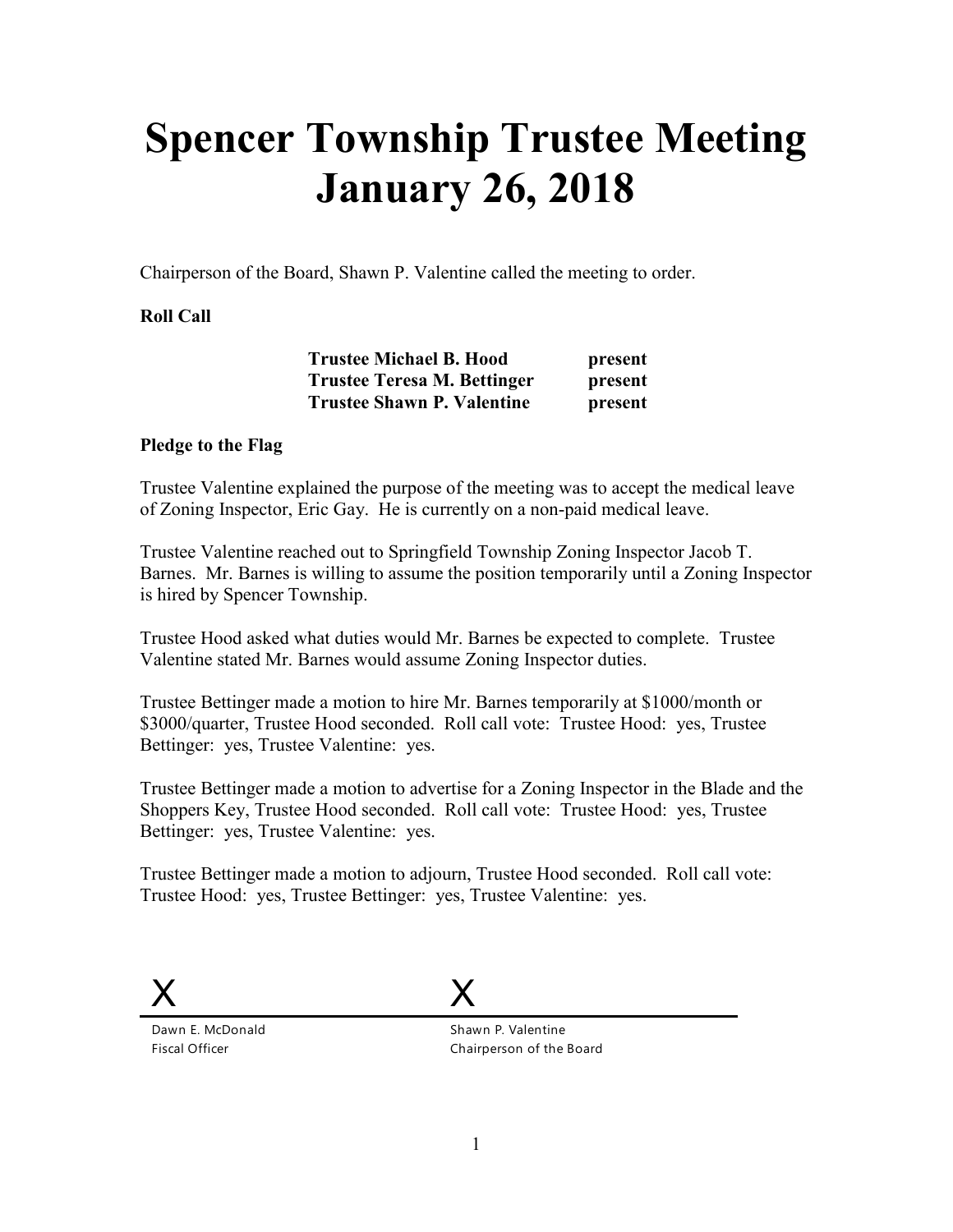## **Spencer Township Trustee Meeting January 26, 2018**

Chairperson of the Board, Shawn P. Valentine called the meeting to order.

## **Roll Call**

| <b>Trustee Michael B. Hood</b>     | present |
|------------------------------------|---------|
| <b>Trustee Teresa M. Bettinger</b> | present |
| <b>Trustee Shawn P. Valentine</b>  | present |

## **Pledge to the Flag**

Trustee Valentine explained the purpose of the meeting was to accept the medical leave of Zoning Inspector, Eric Gay. He is currently on a non-paid medical leave.

Trustee Valentine reached out to Springfield Township Zoning Inspector Jacob T. Barnes. Mr. Barnes is willing to assume the position temporarily until a Zoning Inspector is hired by Spencer Township.

Trustee Hood asked what duties would Mr. Barnes be expected to complete. Trustee Valentine stated Mr. Barnes would assume Zoning Inspector duties.

Trustee Bettinger made a motion to hire Mr. Barnes temporarily at \$1000/month or \$3000/quarter, Trustee Hood seconded. Roll call vote: Trustee Hood: yes, Trustee Bettinger: yes, Trustee Valentine: yes.

Trustee Bettinger made a motion to advertise for a Zoning Inspector in the Blade and the Shoppers Key, Trustee Hood seconded. Roll call vote: Trustee Hood: yes, Trustee Bettinger: yes, Trustee Valentine: yes.

Trustee Bettinger made a motion to adjourn, Trustee Hood seconded. Roll call vote: Trustee Hood: yes, Trustee Bettinger: yes, Trustee Valentine: yes.



Dawn E. McDonald Fiscal Officer

X

Shawn P. Valentine Chairperson of the Board